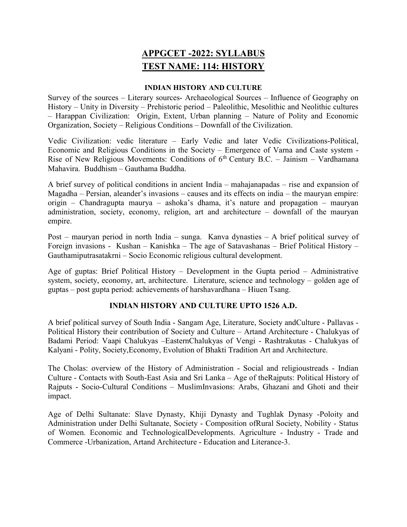# APPGCET -2022: SYLLABUS TEST NAME: 114: HISTORY

#### INDIAN HISTORY AND CULTURE

Survey of the sources – Literary sources- Archaeological Sources – Influence of Geography on History – Unity in Diversity – Prehistoric period – Paleolithic, Mesolithic and Neolithic cultures – Harappan Civilization: Origin, Extent, Urban planning – Nature of Polity and Economic Organization, Society – Religious Conditions – Downfall of the Civilization.

Vedic Civilization: vedic literature – Early Vedic and later Vedic Civilizations-Political, Economic and Religious Conditions in the Society – Emergence of Varna and Caste system - Rise of New Religious Movements: Conditions of  $6<sup>th</sup>$  Century B.C. – Jainism – Vardhamana Mahavira. Buddhism – Gauthama Buddha.

A brief survey of political conditions in ancient India – mahajanapadas – rise and expansion of Magadha – Persian, aleander's invasions – causes and its effects on india – the mauryan empire: origin – Chandragupta maurya – ashoka's dhama, it's nature and propagation – mauryan administration, society, economy, religion, art and architecture – downfall of the mauryan empire.

Post – mauryan period in north India – sunga. Kanva dynasties – A brief political survey of Foreign invasions - Kushan – Kanishka – The age of Satavashanas – Brief Political History – Gauthamiputrasatakrni – Socio Economic religious cultural development.

Age of guptas: Brief Political History – Development in the Gupta period – Administrative system, society, economy, art, architecture. Literature, science and technology – golden age of guptas – post gupta period: achievements of harshavardhana – Hiuen Tsang.

#### INDIAN HISTORY AND CULTURE UPTO 1526 A.D.

A brief political survey of South India - Sangam Age, Literature, Society andCulture - Pallavas - Political History their contribution of Society and Culture – Artand Architecture - Chalukyas of Badami Period: Vaapi Chalukyas –EasternChalukyas of Vengi - Rashtrakutas - Chalukyas of Kalyani - Polity, Society,Economy, Evolution of Bhakti Tradition Art and Architecture.

The Cholas: overview of the History of Administration - Social and religioustreads - Indian Culture - Contacts with South-East Asia and Sri Lanka – Age of theRajputs: Political History of Rajputs - Socio-Cultural Conditions – MuslimInvasions: Arabs, Ghazani and Ghoti and their impact.

Age of Delhi Sultanate: Slave Dynasty, Khiji Dynasty and Tughlak Dynasy -Poloity and Administration under Delhi Sultanate, Society - Composition ofRural Society, Nobility - Status of Women. Economic and TechnologicalDevelopments. Agriculture - Industry - Trade and Commerce -Urbanization, Artand Architecture - Education and Literance-3.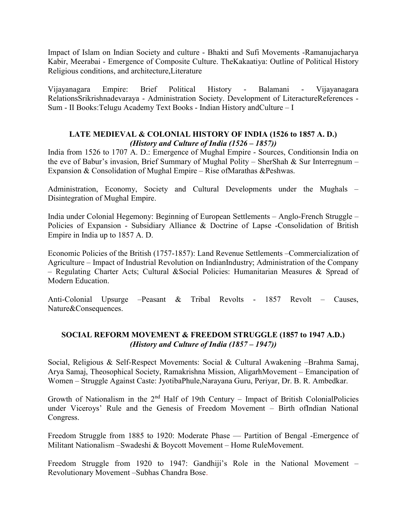Impact of Islam on Indian Society and culture - Bhakti and Sufi Movements -Ramanujacharya Kabir, Meerabai - Emergence of Composite Culture. TheKakaatiya: Outline of Political History Religious conditions, and architecture,Literature

Vijayanagara Empire: Brief Political History - Balamani - Vijayanagara RelationsSrikrishnadevaraya - Administration Society. Development of LiteractureReferences - Sum - II Books:Telugu Academy Text Books - Indian History andCulture – I

### LATE MEDIEVAL & COLONIAL HISTORY OF INDIA (1526 to 1857 A. D.) (History and Culture of India (1526 – 1857))

India from 1526 to 1707 A. D.: Emergence of Mughal Empire - Sources, Conditionsin India on the eve of Babur's invasion, Brief Summary of Mughal Polity – SherShah & Sur Interregnum – Expansion & Consolidation of Mughal Empire – Rise ofMarathas &Peshwas.

Administration, Economy, Society and Cultural Developments under the Mughals – Disintegration of Mughal Empire.

India under Colonial Hegemony: Beginning of European Settlements – Anglo-French Struggle – Policies of Expansion - Subsidiary Alliance & Doctrine of Lapse -Consolidation of British Empire in India up to 1857 A. D.

Economic Policies of the British (1757-1857): Land Revenue Settlements –Commercialization of Agriculture – Impact of Industrial Revolution on IndianIndustry; Administration of the Company – Regulating Charter Acts; Cultural & Social Policies: Humanitarian Measures & Spread of Modern Education.

Anti-Colonial Upsurge –Peasant & Tribal Revolts - 1857 Revolt – Causes, Nature&Consequences.

## SOCIAL REFORM MOVEMENT & FREEDOM STRUGGLE (1857 to 1947 A.D.) (History and Culture of India (1857 – 1947))

Social, Religious & Self-Respect Movements: Social & Cultural Awakening –Brahma Samaj, Arya Samaj, Theosophical Society, Ramakrishna Mission, AligarhMovement – Emancipation of Women – Struggle Against Caste: JyotibaPhule,Narayana Guru, Periyar, Dr. B. R. Ambedkar.

Growth of Nationalism in the  $2<sup>nd</sup>$  Half of 19th Century – Impact of British ColonialPolicies under Viceroys' Rule and the Genesis of Freedom Movement – Birth ofIndian National Congress.

Freedom Struggle from 1885 to 1920: Moderate Phase –– Partition of Bengal -Emergence of Militant Nationalism –Swadeshi & Boycott Movement – Home RuleMovement.

Freedom Struggle from 1920 to 1947: Gandhiji's Role in the National Movement – Revolutionary Movement –Subhas Chandra Bose.